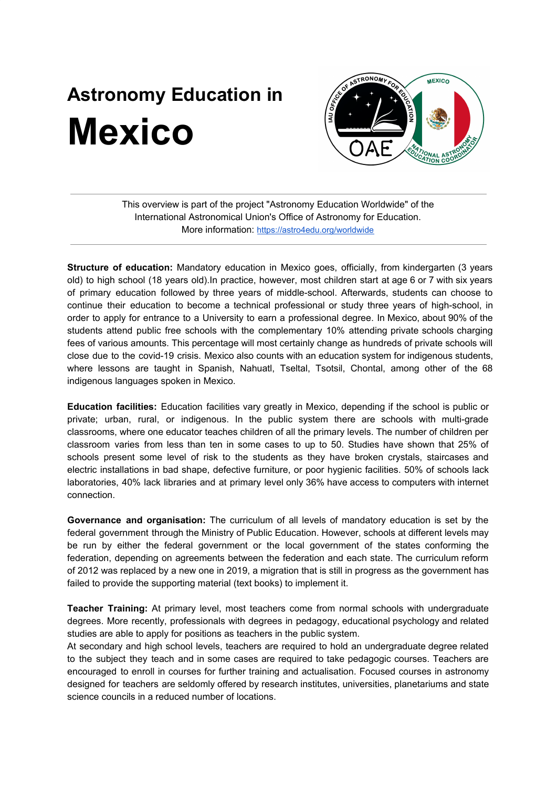## **Astronomy Education in Mexico**



This overview is part of the project "Astronomy Education Worldwide" of the International Astronomical Union's Office of Astronomy for Education. More information: <https://astro4edu.org/worldwide>

**Structure of education:** Mandatory education in Mexico goes, officially, from kindergarten (3 years old) to high school (18 years old).In practice, however, most children start at age 6 or 7 with six years of primary education followed by three years of middle-school. Afterwards, students can choose to continue their education to become a technical professional or study three years of high-school, in order to apply for entrance to a University to earn a professional degree. In Mexico, about 90% of the students attend public free schools with the complementary 10% attending private schools charging fees of various amounts. This percentage will most certainly change as hundreds of private schools will close due to the covid-19 crisis. Mexico also counts with an education system for indigenous students, where lessons are taught in Spanish, Nahuatl, Tseltal, Tsotsil, Chontal, among other of the 68 indigenous languages spoken in Mexico.

**Education facilities:** Education facilities vary greatly in Mexico, depending if the school is public or private; urban, rural, or indigenous. In the public system there are schools with multi-grade classrooms, where one educator teaches children of all the primary levels. The number of children per classroom varies from less than ten in some cases to up to 50. Studies have shown that 25% of schools present some level of risk to the students as they have broken crystals, staircases and electric installations in bad shape, defective furniture, or poor hygienic facilities. 50% of schools lack laboratories, 40% lack libraries and at primary level only 36% have access to computers with internet connection.

**Governance and organisation:** The curriculum of all levels of mandatory education is set by the federal government through the Ministry of Public Education. However, schools at different levels may be run by either the federal government or the local government of the states conforming the federation, depending on agreements between the federation and each state. The curriculum reform of 2012 was replaced by a new one in 2019, a migration that is still in progress as the government has failed to provide the supporting material (text books) to implement it.

**Teacher Training:** At primary level, most teachers come from normal schools with undergraduate degrees. More recently, professionals with degrees in pedagogy, educational psychology and related studies are able to apply for positions as teachers in the public system.

At secondary and high school levels, teachers are required to hold an undergraduate degree related to the subject they teach and in some cases are required to take pedagogic courses. Teachers are encouraged to enroll in courses for further training and actualisation. Focused courses in astronomy designed for teachers are seldomly offered by research institutes, universities, planetariums and state science councils in a reduced number of locations.